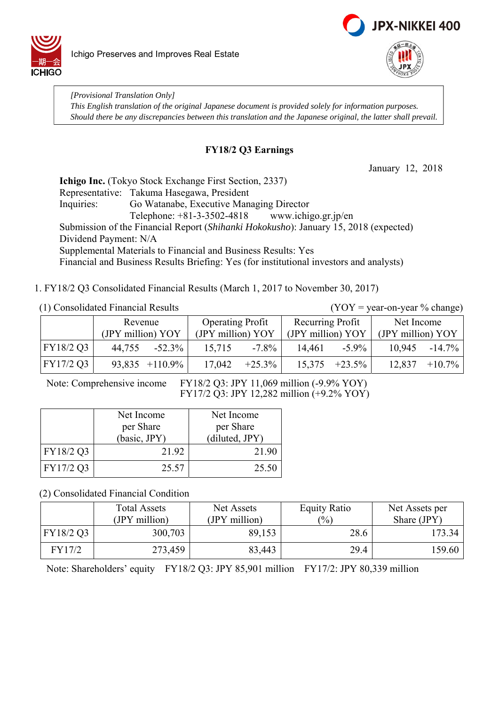



*[Provisional Translation Only] This English translation of the original Japanese document is provided solely for information purposes. Should there be any discrepancies between this translation and the Japanese original, the latter shall prevail.*

### **FY18/2 Q3 Earnings**

January 12, 2018

**Ichigo Inc.** (Tokyo Stock Exchange First Section, 2337) Representative: Takuma Hasegawa, President Inquiries: Go Watanabe, Executive Managing Director Telephone: +81-3-3502-4818 www.ichigo.gr.jp/en Submission of the Financial Report (*Shihanki Hokokusho*): January 15, 2018 (expected) Dividend Payment: N/A Supplemental Materials to Financial and Business Results: Yes Financial and Business Results Briefing: Yes (for institutional investors and analysts)

1. FY18/2 Q3 Consolidated Financial Results (March 1, 2017 to November 30, 2017)

(1) Consolidated Financial Results  $(YOY = year-on-year % change)$ 

|           | Revenue<br>(JPY million) YOY |                  | <b>Operating Profit</b><br>(JPY million) YOY |           | Recurring Profit<br>(JPY million) YOY |                    | Net Income<br>(JPY million) YOY |           |
|-----------|------------------------------|------------------|----------------------------------------------|-----------|---------------------------------------|--------------------|---------------------------------|-----------|
| FY18/2 Q3 | 44,755                       | $-52.3\%$        | 15,715                                       | $-7.8\%$  | 14.461                                | $-5.9\%$           | 10.945                          | $-14.7\%$ |
| FY17/2 Q3 |                              | $93,835$ +110.9% | 17,042                                       | $+25.3\%$ |                                       | $15,375$ $+23.5\%$ | 12,837                          | $+10.7\%$ |

Note: Comprehensive income FY18/2 Q3: JPY 11,069 million (-9.9% YOY) FY17/2 Q3: JPY 12,282 million (+9.2% YOY)

|           | Net Income   | Net Income     |
|-----------|--------------|----------------|
|           | per Share    | per Share      |
|           | (basic, JPY) | (diluted, JPY) |
| FY18/2 Q3 | 21.92        | 21.90          |
| FY17/2 Q3 | 25.57        | 25.50          |

(2) Consolidated Financial Condition

|           | <b>Total Assets</b><br>(JPY million) | Net Assets<br>(JPY million) | <b>Equity Ratio</b><br>(%) | Net Assets per<br>Share (JPY) |
|-----------|--------------------------------------|-----------------------------|----------------------------|-------------------------------|
| FY18/2 Q3 | 300,703                              | 89,153                      | 28.6                       | 173.34                        |
| FY17/2    | 273,459                              | 83,443                      | 29.4                       | 159.60                        |

Note: Shareholders' equity FY18/2 Q3: JPY 85,901 million FY17/2: JPY 80,339 million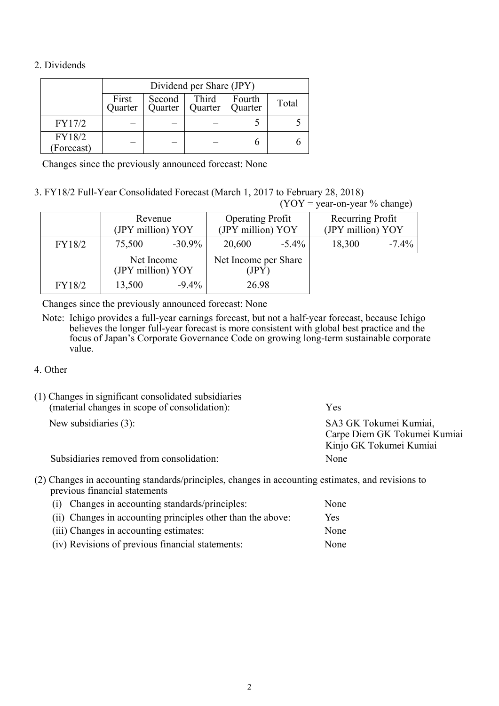#### 2. Dividends

|                     | Dividend per Share (JPY) |       |  |  |  |  |
|---------------------|--------------------------|-------|--|--|--|--|
|                     | First<br>Quarter         | Total |  |  |  |  |
| FY17/2              |                          |       |  |  |  |  |
| FY18/2<br>Forecast) |                          |       |  |  |  |  |

Changes since the previously announced forecast: None

3. FY18/2 Full-Year Consolidated Forecast (March 1, 2017 to February 28, 2018)  $(VOV = year-on-year % change)$ 

|        |                                 |           |                                              |          | $(1 \cup 1 - y \cup a - \cup 1 - y \cup a)$ /0 $\cup$ $ a  g \cup b $ |         |
|--------|---------------------------------|-----------|----------------------------------------------|----------|-----------------------------------------------------------------------|---------|
|        | Revenue<br>(JPY million) YOY    |           | <b>Operating Profit</b><br>(JPY million) YOY |          | Recurring Profit<br>(JPY million) YOY                                 |         |
| FY18/2 | 75,500                          | $-30.9\%$ | 20,600                                       | $-5.4\%$ | 18,300                                                                | $-7.4%$ |
|        | Net Income<br>(JPY million) YOY |           | Net Income per Share<br>(JPY)                |          |                                                                       |         |
| FY18/2 | 13,500                          | $-9.4\%$  | 26.98                                        |          |                                                                       |         |

Changes since the previously announced forecast: None

Note: Ichigo provides a full-year earnings forecast, but not a half-year forecast, because Ichigo believes the longer full-year forecast is more consistent with global best practice and the focus of Japan's Corporate Governance Code on growing long-term sustainable corporate value.

#### 4. Other

| (1) Changes in significant consolidated subsidiaries<br>(material changes in scope of consolidation): | Yes                                                                               |
|-------------------------------------------------------------------------------------------------------|-----------------------------------------------------------------------------------|
| New subsidiaries (3):                                                                                 | SA3 GK Tokumei Kumiai,<br>Carpe Diem GK Tokumei Kumiai<br>Kinjo GK Tokumei Kumiai |
| Subsidiaries removed from consolidation:                                                              | None                                                                              |

(2) Changes in accounting standards/principles, changes in accounting estimates, and revisions to previous financial statements

| (i) Changes in accounting standards/principles:             | None |
|-------------------------------------------------------------|------|
| (ii) Changes in accounting principles other than the above: | Yes. |
| (iii) Changes in accounting estimates:                      | None |
| (iv) Revisions of previous financial statements:            | None |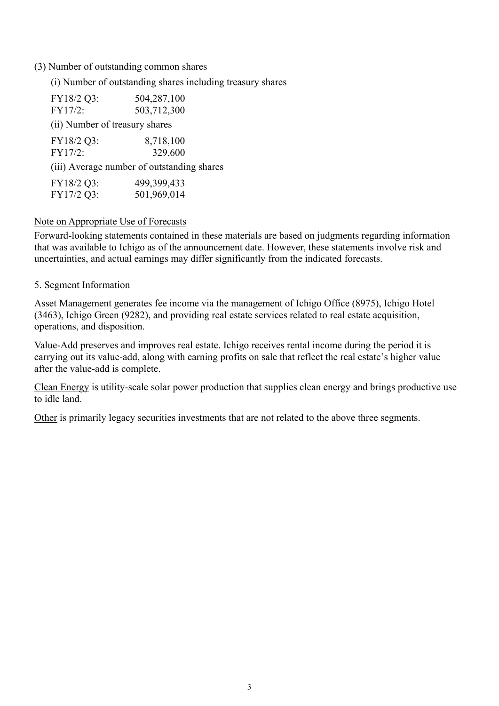#### (3) Number of outstanding common shares

(i) Number of outstanding shares including treasury shares

| FY18/2 Q3:                     | 504,287,100                                |
|--------------------------------|--------------------------------------------|
| FY17/2:                        | 503,712,300                                |
| (ii) Number of treasury shares |                                            |
| FY18/2 Q3:                     | 8,718,100                                  |
| FY17/2:                        | 329,600                                    |
|                                | (iii) Average number of outstanding shares |
| FY18/2 Q3:                     | 499,399,433                                |
| FY17/2 Q3:                     | 501,969,014                                |

#### Note on Appropriate Use of Forecasts

Forward-looking statements contained in these materials are based on judgments regarding information that was available to Ichigo as of the announcement date. However, these statements involve risk and uncertainties, and actual earnings may differ significantly from the indicated forecasts.

#### 5. Segment Information

Asset Management generates fee income via the management of Ichigo Office (8975), Ichigo Hotel (3463), Ichigo Green (9282), and providing real estate services related to real estate acquisition, operations, and disposition.

Value-Add preserves and improves real estate. Ichigo receives rental income during the period it is carrying out its value-add, along with earning profits on sale that reflect the real estate's higher value after the value-add is complete.

Clean Energy is utility-scale solar power production that supplies clean energy and brings productive use to idle land.

Other is primarily legacy securities investments that are not related to the above three segments.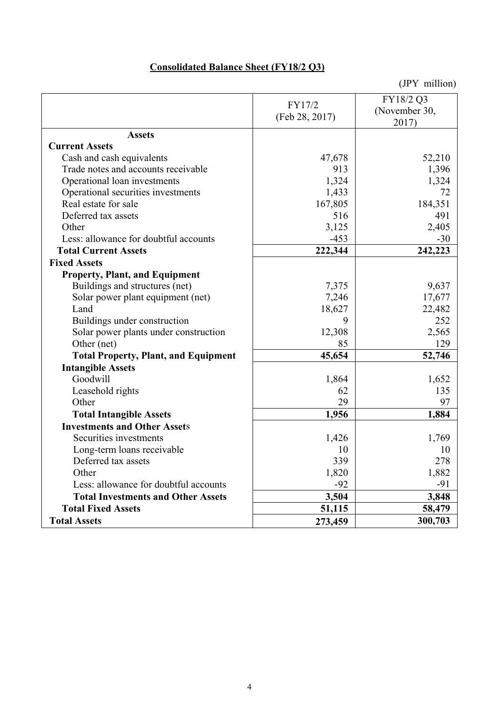# **Consolidated Balance Sheet (FY18/2 Q3)**

|                                             | FY17/2         | FY18/2 Q3<br>(November 30, |
|---------------------------------------------|----------------|----------------------------|
|                                             | (Feb 28, 2017) | 2017)                      |
| <b>Assets</b>                               |                |                            |
| <b>Current Assets</b>                       |                |                            |
| Cash and cash equivalents                   | 47,678         | 52,210                     |
| Trade notes and accounts receivable         | 913            | 1,396                      |
| Operational loan investments                | 1,324          | 1,324                      |
| Operational securities investments          | 1,433          | 72                         |
| Real estate for sale                        | 167,805        | 184,351                    |
| Deferred tax assets                         | 516            | 491                        |
| Other                                       | 3,125          | 2,405                      |
| Less: allowance for doubtful accounts       | $-453$         | $-30$                      |
| <b>Total Current Assets</b>                 | 222,344        | 242,223                    |
| <b>Fixed Assets</b>                         |                |                            |
| <b>Property, Plant, and Equipment</b>       |                |                            |
| Buildings and structures (net)              | 7,375          | 9,637                      |
| Solar power plant equipment (net)           | 7,246          | 17,677                     |
| Land                                        | 18,627         | 22,482                     |
| Buildings under construction                | 9              | 252                        |
| Solar power plants under construction       | 12,308         | 2,565                      |
| Other (net)                                 | 85             | 129                        |
| <b>Total Property, Plant, and Equipment</b> | 45,654         | 52,746                     |
| <b>Intangible Assets</b>                    |                |                            |
| Goodwill                                    | 1,864          | 1,652                      |
| Leasehold rights                            | 62             | 135                        |
| Other                                       | 29             | 97                         |
| <b>Total Intangible Assets</b>              | 1,956          | 1,884                      |
| <b>Investments and Other Assets</b>         |                |                            |
| Securities investments                      | 1,426          | 1,769                      |
| Long-term loans receivable                  | 10             | 10                         |
| Deferred tax assets                         | 339            | 278                        |
| Other                                       | 1,820          | 1,882                      |
| Less: allowance for doubtful accounts       | $-92$          | $-91$                      |
| <b>Total Investments and Other Assets</b>   | 3,504          | 3,848                      |
| <b>Total Fixed Assets</b>                   | 51,115         | 58,479                     |
| <b>Total Assets</b>                         | 273,459        | 300,703                    |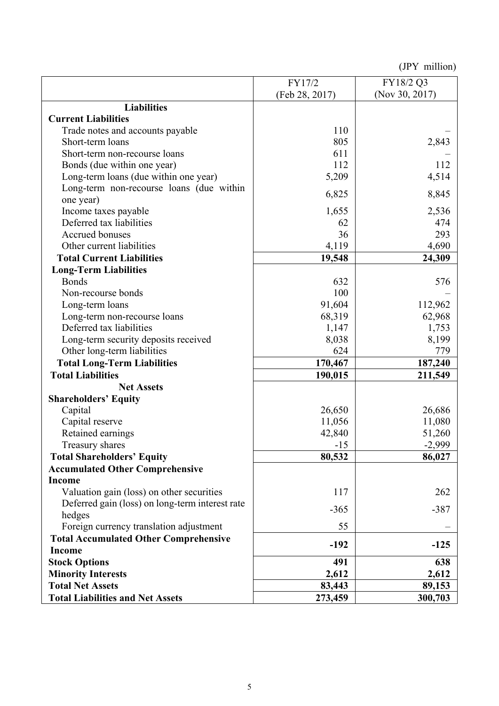|                                                 | FY17/2         | FY18/2 Q3      |
|-------------------------------------------------|----------------|----------------|
|                                                 | (Feb 28, 2017) | (Nov 30, 2017) |
| <b>Liabilities</b>                              |                |                |
| <b>Current Liabilities</b>                      |                |                |
| Trade notes and accounts payable                | 110            |                |
| Short-term loans                                | 805            | 2,843          |
| Short-term non-recourse loans                   | 611            |                |
| Bonds (due within one year)                     | 112            | 112            |
| Long-term loans (due within one year)           | 5,209          | 4,514          |
| Long-term non-recourse loans (due within        |                |                |
| one year)                                       | 6,825          | 8,845          |
| Income taxes payable                            | 1,655          | 2,536          |
| Deferred tax liabilities                        | 62             | 474            |
| Accrued bonuses                                 | 36             | 293            |
| Other current liabilities                       | 4,119          | 4,690          |
| <b>Total Current Liabilities</b>                | 19,548         | 24,309         |
| <b>Long-Term Liabilities</b>                    |                |                |
| <b>Bonds</b>                                    | 632            | 576            |
| Non-recourse bonds                              | 100            |                |
| Long-term loans                                 | 91,604         | 112,962        |
| Long-term non-recourse loans                    | 68,319         | 62,968         |
| Deferred tax liabilities                        | 1,147          | 1,753          |
| Long-term security deposits received            | 8,038          | 8,199          |
| Other long-term liabilities                     | 624            | 779            |
| <b>Total Long-Term Liabilities</b>              | 170,467        | 187,240        |
| <b>Total Liabilities</b>                        | 190,015        | 211,549        |
| <b>Net Assets</b>                               |                |                |
| <b>Shareholders' Equity</b>                     |                |                |
| Capital                                         | 26,650         | 26,686         |
| Capital reserve                                 | 11,056         | 11,080         |
| Retained earnings                               | 42,840         | 51,260         |
| Treasury shares                                 | $-15$          | $-2,999$       |
| <b>Total Shareholders' Equity</b>               | 80,532         | 86,027         |
| <b>Accumulated Other Comprehensive</b>          |                |                |
| <b>Income</b>                                   |                |                |
| Valuation gain (loss) on other securities       | 117            | 262            |
| Deferred gain (loss) on long-term interest rate |                |                |
| hedges                                          | $-365$         | $-387$         |
| Foreign currency translation adjustment         | 55             |                |
| <b>Total Accumulated Other Comprehensive</b>    |                |                |
| Income                                          | $-192$         | $-125$         |
| <b>Stock Options</b>                            | 491            | 638            |
| <b>Minority Interests</b>                       | 2,612          | 2,612          |
| <b>Total Net Assets</b>                         | 83,443         | 89,153         |
| <b>Total Liabilities and Net Assets</b>         | 273,459        | 300,703        |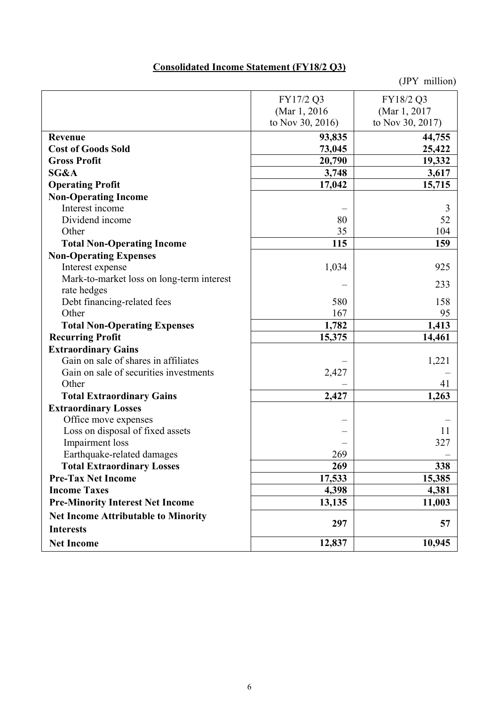# **Consolidated Income Statement (FY18/2 Q3)**

|                                            | FY17/2 Q3        | FY18/2 Q3        |
|--------------------------------------------|------------------|------------------|
|                                            | (Mar 1, 2016)    | (Mar 1, 2017     |
|                                            | to Nov 30, 2016) | to Nov 30, 2017) |
| Revenue                                    | 93,835           | 44,755           |
| <b>Cost of Goods Sold</b>                  | 73,045           | 25,422           |
| <b>Gross Profit</b>                        | 20,790           | 19,332           |
| SG&A                                       | 3,748            | 3,617            |
| <b>Operating Profit</b>                    | 17,042           | 15,715           |
| <b>Non-Operating Income</b>                |                  |                  |
| Interest income                            |                  | 3                |
| Dividend income                            | 80               | 52               |
| Other                                      | 35               | 104              |
| <b>Total Non-Operating Income</b>          | 115              | 159              |
| <b>Non-Operating Expenses</b>              |                  |                  |
| Interest expense                           | 1,034            | 925              |
| Mark-to-market loss on long-term interest  |                  |                  |
| rate hedges                                |                  | 233              |
| Debt financing-related fees                | 580              | 158              |
| Other                                      | 167              | 95               |
| <b>Total Non-Operating Expenses</b>        | 1,782            | 1,413            |
| <b>Recurring Profit</b>                    | 15,375           | 14,461           |
| <b>Extraordinary Gains</b>                 |                  |                  |
| Gain on sale of shares in affiliates       |                  | 1,221            |
| Gain on sale of securities investments     | 2,427            |                  |
| Other                                      |                  | 41               |
| <b>Total Extraordinary Gains</b>           | 2,427            | 1,263            |
| <b>Extraordinary Losses</b>                |                  |                  |
| Office move expenses                       |                  |                  |
| Loss on disposal of fixed assets           |                  | 11               |
| Impairment loss                            |                  | 327              |
| Earthquake-related damages                 | 269              |                  |
| <b>Total Extraordinary Losses</b>          | 269              | 338              |
| <b>Pre-Tax Net Income</b>                  | 17,533           | 15,385           |
| <b>Income Taxes</b>                        | 4,398            | 4,381            |
| <b>Pre-Minority Interest Net Income</b>    | 13,135           | 11,003           |
| <b>Net Income Attributable to Minority</b> |                  |                  |
| <b>Interests</b>                           | 297              | 57               |
| <b>Net Income</b>                          | 12,837           | 10,945           |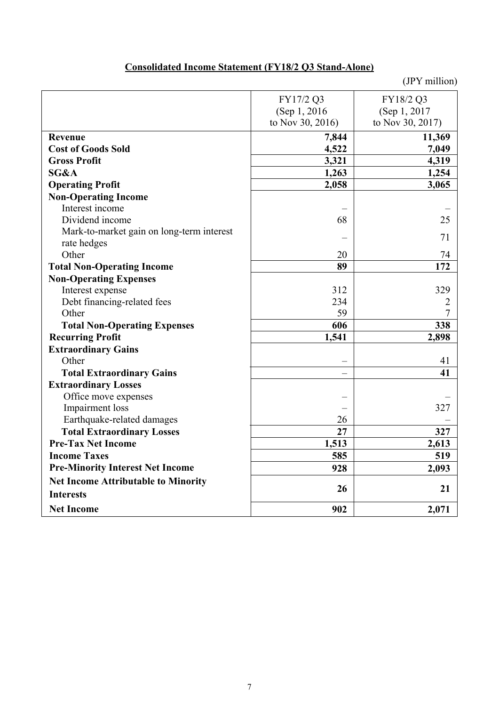# **Consolidated Income Statement (FY18/2 Q3 Stand-Alone)**

|                                            | FY17/2 Q3        | FY18/2 Q3        |
|--------------------------------------------|------------------|------------------|
|                                            | (Sep 1, 2016)    | (Sep 1, 2017     |
|                                            | to Nov 30, 2016) | to Nov 30, 2017) |
| Revenue                                    | 7,844            | 11,369           |
| <b>Cost of Goods Sold</b>                  | 4,522            | 7,049            |
| <b>Gross Profit</b>                        | 3,321            | 4,319            |
| SG&A                                       | 1,263            | 1,254            |
| <b>Operating Profit</b>                    | 2,058            | 3,065            |
| <b>Non-Operating Income</b>                |                  |                  |
| Interest income                            |                  |                  |
| Dividend income                            | 68               | 25               |
| Mark-to-market gain on long-term interest  |                  | 71               |
| rate hedges                                |                  |                  |
| Other                                      | 20               | 74               |
| <b>Total Non-Operating Income</b>          | 89               | 172              |
| <b>Non-Operating Expenses</b>              |                  |                  |
| Interest expense                           | 312              | 329              |
| Debt financing-related fees                | 234              | 2                |
| Other                                      | 59               | 7                |
| <b>Total Non-Operating Expenses</b>        | 606              | 338              |
| <b>Recurring Profit</b>                    | 1,541            | 2,898            |
| <b>Extraordinary Gains</b>                 |                  |                  |
| Other                                      |                  | 41               |
| <b>Total Extraordinary Gains</b>           |                  | 41               |
| <b>Extraordinary Losses</b>                |                  |                  |
| Office move expenses                       |                  |                  |
| Impairment loss                            |                  | 327              |
| Earthquake-related damages                 | 26               |                  |
| <b>Total Extraordinary Losses</b>          | 27               | 327              |
| <b>Pre-Tax Net Income</b>                  | 1,513            | 2,613            |
| <b>Income Taxes</b>                        | 585              | 519              |
| <b>Pre-Minority Interest Net Income</b>    | 928              | 2,093            |
| <b>Net Income Attributable to Minority</b> |                  |                  |
| <b>Interests</b>                           | 26               | 21               |
| <b>Net Income</b>                          | 902              | 2,071            |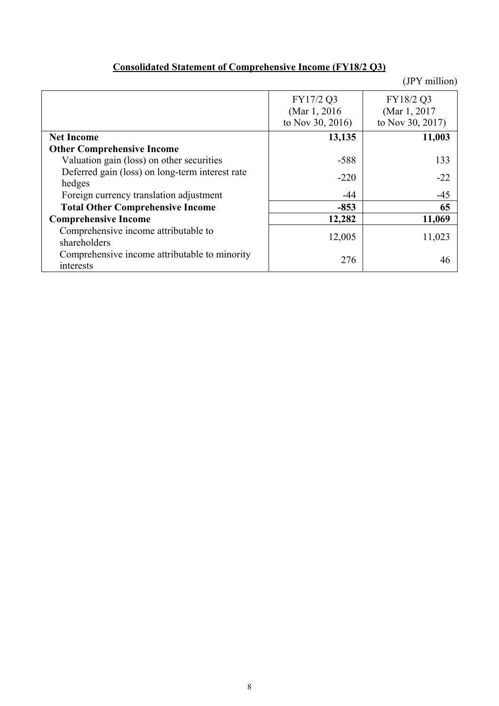|  | <b>Consolidated Statement of Comprehensive Income (FY18/2 Q3)</b> |  |  |  |  |  |
|--|-------------------------------------------------------------------|--|--|--|--|--|
|--|-------------------------------------------------------------------|--|--|--|--|--|

|                                                 | FY17/2 Q3        | FY18/2 Q3        |
|-------------------------------------------------|------------------|------------------|
|                                                 | (Mar 1, 2016)    | (Mar 1, 2017)    |
|                                                 | to Nov 30, 2016) | to Nov 30, 2017) |
| <b>Net Income</b>                               | 13,135           | 11,003           |
| <b>Other Comprehensive Income</b>               |                  |                  |
| Valuation gain (loss) on other securities       | $-588$           | 133              |
| Deferred gain (loss) on long-term interest rate | $-220$           | $-22$            |
| hedges                                          |                  |                  |
| Foreign currency translation adjustment         | $-44$            | $-45$            |
| <b>Total Other Comprehensive Income</b>         | $-853$           | 65               |
| <b>Comprehensive Income</b>                     | 12,282           | 11,069           |
| Comprehensive income attributable to            | 12,005           | 11,023           |
| shareholders                                    |                  |                  |
| Comprehensive income attributable to minority   | 276              | 46               |
| interests                                       |                  |                  |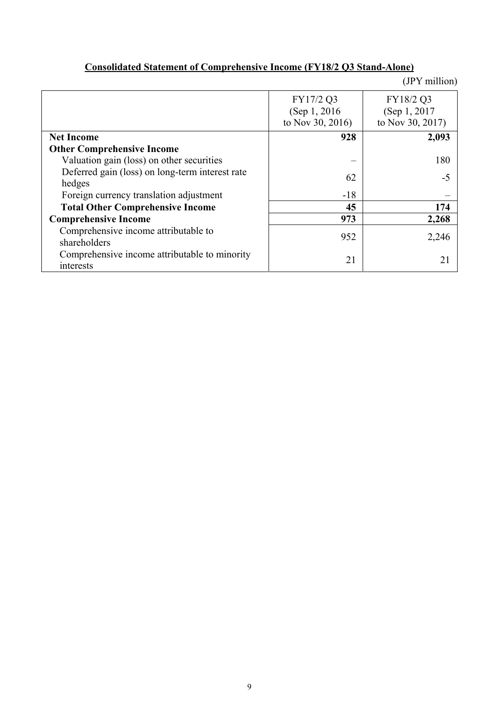|                                                 |                  | (JPY million)    |
|-------------------------------------------------|------------------|------------------|
|                                                 | FY17/2 Q3        | FY18/2 Q3        |
|                                                 | (Sep 1, 2016)    | (Sep 1, 2017)    |
|                                                 | to Nov 30, 2016) | to Nov 30, 2017) |
| <b>Net Income</b>                               | 928              | 2,093            |
| <b>Other Comprehensive Income</b>               |                  |                  |
| Valuation gain (loss) on other securities       |                  | 180              |
| Deferred gain (loss) on long-term interest rate | 62               | -5               |
| hedges                                          |                  |                  |
| Foreign currency translation adjustment         | $-18$            |                  |
| <b>Total Other Comprehensive Income</b>         | 45               | 174              |
| <b>Comprehensive Income</b>                     | 973              | 2,268            |
| Comprehensive income attributable to            | 952              | 2,246            |
| shareholders                                    |                  |                  |
| Comprehensive income attributable to minority   | 21               | 21               |
| interests                                       |                  |                  |

## **Consolidated Statement of Comprehensive Income (FY18/2 Q3 Stand-Alone)**

9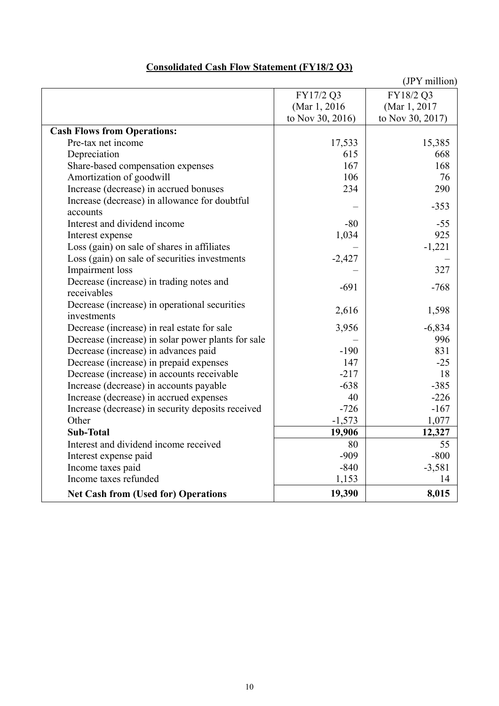|                                                    |                  | (JPY million)    |
|----------------------------------------------------|------------------|------------------|
|                                                    | FY17/2 Q3        | FY18/2 Q3        |
|                                                    | (Mar 1, 2016)    | (Mar 1, 2017)    |
|                                                    | to Nov 30, 2016) | to Nov 30, 2017) |
| <b>Cash Flows from Operations:</b>                 |                  |                  |
| Pre-tax net income                                 | 17,533           | 15,385           |
| Depreciation                                       | 615              | 668              |
| Share-based compensation expenses                  | 167              | 168              |
| Amortization of goodwill                           | 106              | 76               |
| Increase (decrease) in accrued bonuses             | 234              | 290              |
| Increase (decrease) in allowance for doubtful      |                  | $-353$           |
| accounts                                           |                  |                  |
| Interest and dividend income                       | $-80$            | $-55$            |
| Interest expense                                   | 1,034            | 925              |
| Loss (gain) on sale of shares in affiliates        |                  | $-1,221$         |
| Loss (gain) on sale of securities investments      | $-2,427$         |                  |
| Impairment loss                                    |                  | 327              |
| Decrease (increase) in trading notes and           | $-691$           | $-768$           |
| receivables                                        |                  |                  |
| Decrease (increase) in operational securities      | 2,616            | 1,598            |
| investments                                        |                  |                  |
| Decrease (increase) in real estate for sale        | 3,956            | $-6,834$         |
| Decrease (increase) in solar power plants for sale |                  | 996              |
| Decrease (increase) in advances paid               | $-190$           | 831              |
| Decrease (increase) in prepaid expenses            | 147              | $-25$            |
| Decrease (increase) in accounts receivable         | $-217$           | 18               |
| Increase (decrease) in accounts payable            | $-638$           | $-385$           |
| Increase (decrease) in accrued expenses            | 40               | $-226$           |
| Increase (decrease) in security deposits received  | $-726$           | $-167$           |
| Other                                              | $-1,573$         | 1,077            |
| <b>Sub-Total</b>                                   | 19,906           | 12,327           |
| Interest and dividend income received              | 80               | 55               |
| Interest expense paid                              | $-909$           | $-800$           |
| Income taxes paid                                  | $-840$           | $-3,581$         |
| Income taxes refunded                              | 1,153            | 14               |
| <b>Net Cash from (Used for) Operations</b>         | 19,390           | 8,015            |

### **Consolidated Cash Flow Statement (FY18/2 Q3)**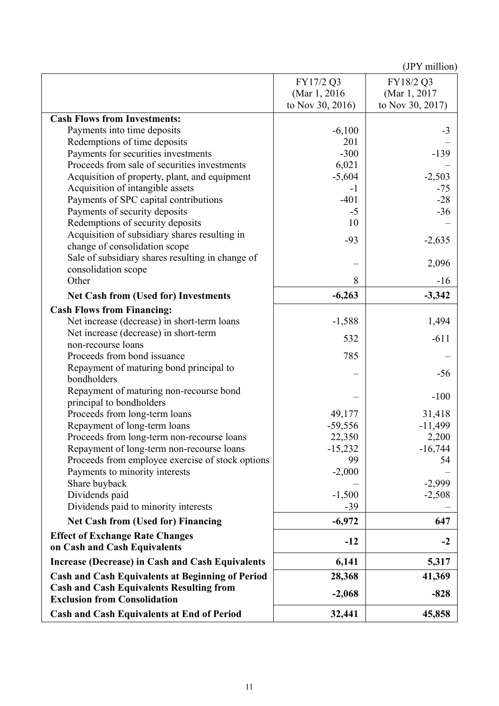|                                                                                        | FY17/2 Q3        | FY18/2 Q3        |
|----------------------------------------------------------------------------------------|------------------|------------------|
|                                                                                        | (Mar 1, 2016)    | (Mar 1, 2017)    |
|                                                                                        | to Nov 30, 2016) | to Nov 30, 2017) |
| <b>Cash Flows from Investments:</b>                                                    |                  |                  |
| Payments into time deposits                                                            | $-6,100$         | $-3$             |
| Redemptions of time deposits                                                           | 201              |                  |
| Payments for securities investments                                                    | $-300$           | $-139$           |
| Proceeds from sale of securities investments                                           | 6,021            |                  |
| Acquisition of property, plant, and equipment                                          | $-5,604$         | $-2,503$         |
| Acquisition of intangible assets                                                       | $-1$             | $-75$            |
| Payments of SPC capital contributions                                                  | $-401$           | $-28$            |
| Payments of security deposits                                                          | $-5$             | $-36$            |
| Redemptions of security deposits                                                       | 10               |                  |
| Acquisition of subsidiary shares resulting in                                          | $-93$            | $-2,635$         |
| change of consolidation scope<br>Sale of subsidiary shares resulting in change of      |                  |                  |
| consolidation scope                                                                    |                  | 2,096            |
| Other                                                                                  | 8                | $-16$            |
|                                                                                        |                  |                  |
| <b>Net Cash from (Used for) Investments</b>                                            | $-6,263$         | $-3,342$         |
| <b>Cash Flows from Financing:</b>                                                      |                  |                  |
| Net increase (decrease) in short-term loans                                            | $-1,588$         | 1,494            |
| Net increase (decrease) in short-term                                                  | 532              | $-611$           |
| non-recourse loans                                                                     | 785              |                  |
| Proceeds from bond issuance<br>Repayment of maturing bond principal to                 |                  |                  |
| bondholders                                                                            |                  | $-56$            |
| Repayment of maturing non-recourse bond                                                |                  |                  |
| principal to bondholders                                                               |                  | $-100$           |
| Proceeds from long-term loans                                                          | 49,177           | 31,418           |
| Repayment of long-term loans                                                           | $-59,556$        | $-11,499$        |
| Proceeds from long-term non-recourse loans                                             | 22,350           | 2,200            |
| Repayment of long-term non-recourse loans                                              | $-15,232$        | $-16,744$        |
| Proceeds from employee exercise of stock options                                       | 99               | 54               |
| Payments to minority interests                                                         | $-2,000$         |                  |
| Share buyback                                                                          |                  | $-2,999$         |
| Dividends paid                                                                         | $-1,500$         | $-2,508$         |
| Dividends paid to minority interests                                                   | $-39$            |                  |
| <b>Net Cash from (Used for) Financing</b>                                              | $-6,972$         | 647              |
| <b>Effect of Exchange Rate Changes</b>                                                 |                  |                  |
| on Cash and Cash Equivalents                                                           | $-12$            | $-2$             |
| <b>Increase (Decrease) in Cash and Cash Equivalents</b>                                | 6,141            | 5,317            |
| <b>Cash and Cash Equivalents at Beginning of Period</b>                                | 28,368           | 41,369           |
| <b>Cash and Cash Equivalents Resulting from</b><br><b>Exclusion from Consolidation</b> | $-2,068$         | $-828$           |
| <b>Cash and Cash Equivalents at End of Period</b>                                      | 32,441           | 45,858           |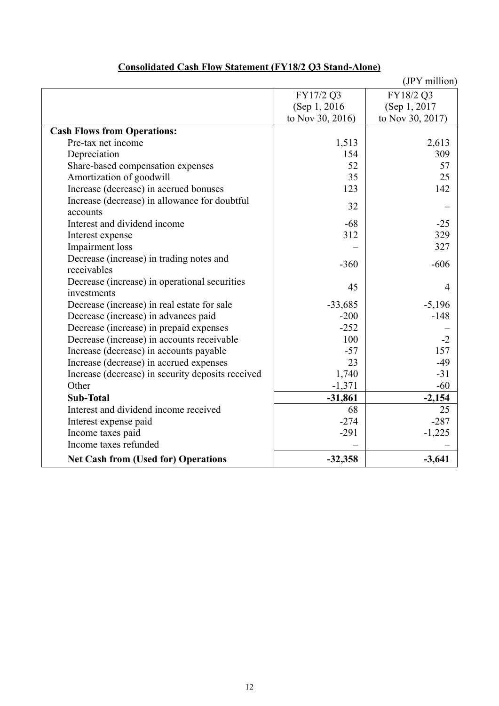|                                                   |                  | (JPY million)    |
|---------------------------------------------------|------------------|------------------|
|                                                   | FY17/2 Q3        | FY18/2 Q3        |
|                                                   | (Sep 1, 2016)    | (Sep 1, 2017)    |
|                                                   | to Nov 30, 2016) | to Nov 30, 2017) |
| <b>Cash Flows from Operations:</b>                |                  |                  |
| Pre-tax net income                                | 1,513            | 2,613            |
| Depreciation                                      | 154              | 309              |
| Share-based compensation expenses                 | 52               | 57               |
| Amortization of goodwill                          | 35               | 25               |
| Increase (decrease) in accrued bonuses            | 123              | 142              |
| Increase (decrease) in allowance for doubtful     | 32               |                  |
| accounts                                          |                  |                  |
| Interest and dividend income                      | $-68$            | $-25$            |
| Interest expense                                  | 312              | 329              |
| <b>Impairment</b> loss                            |                  | 327              |
| Decrease (increase) in trading notes and          | $-360$           | $-606$           |
| receivables                                       |                  |                  |
| Decrease (increase) in operational securities     | 45               | 4                |
| investments                                       |                  |                  |
| Decrease (increase) in real estate for sale       | $-33,685$        | $-5,196$         |
| Decrease (increase) in advances paid              | $-200$           | $-148$           |
| Decrease (increase) in prepaid expenses           | $-252$           |                  |
| Decrease (increase) in accounts receivable        | 100              | $-2$             |
| Increase (decrease) in accounts payable           | $-57$            | 157              |
| Increase (decrease) in accrued expenses           | 23               | $-49$            |
| Increase (decrease) in security deposits received | 1,740            | $-31$            |
| Other                                             | $-1,371$         | $-60$            |
| <b>Sub-Total</b>                                  | $-31,861$        | $-2,154$         |
| Interest and dividend income received             | 68               | 25               |
| Interest expense paid                             | $-274$           | $-287$           |
| Income taxes paid                                 | $-291$           | $-1,225$         |
| Income taxes refunded                             |                  |                  |
| <b>Net Cash from (Used for) Operations</b>        | $-32,358$        | $-3,641$         |

# **Consolidated Cash Flow Statement (FY18/2 Q3 Stand-Alone)**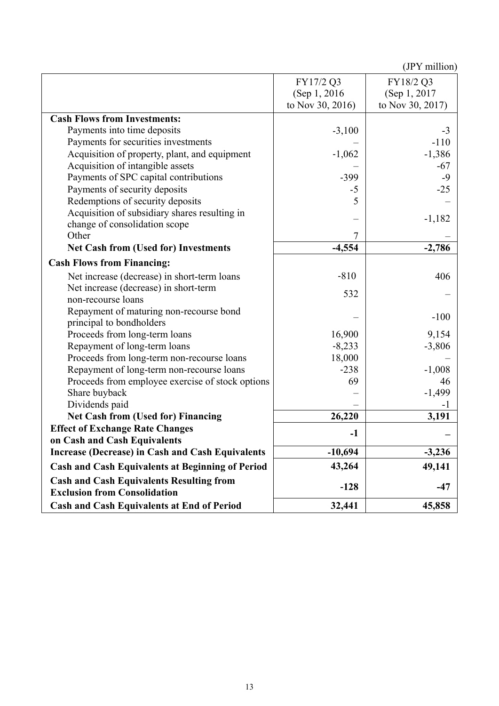|                                                                                        |                  | $\mathbf{v}$ . There is |
|----------------------------------------------------------------------------------------|------------------|-------------------------|
|                                                                                        | FY17/2 Q3        | FY18/2 Q3               |
|                                                                                        | (Sep 1, 2016)    | (Sep 1, 2017)           |
|                                                                                        | to Nov 30, 2016) | to Nov 30, 2017)        |
|                                                                                        |                  |                         |
| <b>Cash Flows from Investments:</b>                                                    |                  |                         |
| Payments into time deposits                                                            | $-3,100$         | $-3$                    |
| Payments for securities investments                                                    |                  | $-110$                  |
| Acquisition of property, plant, and equipment                                          | $-1,062$         | $-1,386$                |
| Acquisition of intangible assets                                                       |                  | $-67$                   |
| Payments of SPC capital contributions                                                  | $-399$           | $-9$                    |
| Payments of security deposits                                                          | $-5$             | $-25$                   |
| Redemptions of security deposits                                                       | 5                |                         |
| Acquisition of subsidiary shares resulting in                                          |                  |                         |
| change of consolidation scope                                                          |                  | $-1,182$                |
| Other                                                                                  | 7                |                         |
| <b>Net Cash from (Used for) Investments</b>                                            | $-4,554$         | $-2,786$                |
| <b>Cash Flows from Financing:</b>                                                      |                  |                         |
| Net increase (decrease) in short-term loans                                            | $-810$           | 406                     |
| Net increase (decrease) in short-term                                                  |                  |                         |
| non-recourse loans                                                                     | 532              |                         |
| Repayment of maturing non-recourse bond                                                |                  |                         |
| principal to bondholders                                                               |                  | $-100$                  |
| Proceeds from long-term loans                                                          | 16,900           | 9,154                   |
| Repayment of long-term loans                                                           | $-8,233$         | $-3,806$                |
| Proceeds from long-term non-recourse loans                                             | 18,000           |                         |
| Repayment of long-term non-recourse loans                                              | $-238$           | $-1,008$                |
| Proceeds from employee exercise of stock options                                       | 69               | 46                      |
| Share buyback                                                                          |                  | $-1,499$                |
| Dividends paid                                                                         |                  |                         |
| <b>Net Cash from (Used for) Financing</b>                                              | 26,220           | 3,191                   |
| <b>Effect of Exchange Rate Changes</b>                                                 |                  |                         |
| on Cash and Cash Equivalents                                                           | $-1$             |                         |
| <b>Increase (Decrease) in Cash and Cash Equivalents</b>                                | $-10,694$        | $-3,236$                |
| <b>Cash and Cash Equivalents at Beginning of Period</b>                                | 43,264           | 49,141                  |
| <b>Cash and Cash Equivalents Resulting from</b><br><b>Exclusion from Consolidation</b> | $-128$           | $-47$                   |
| <b>Cash and Cash Equivalents at End of Period</b>                                      | 32,441           | 45,858                  |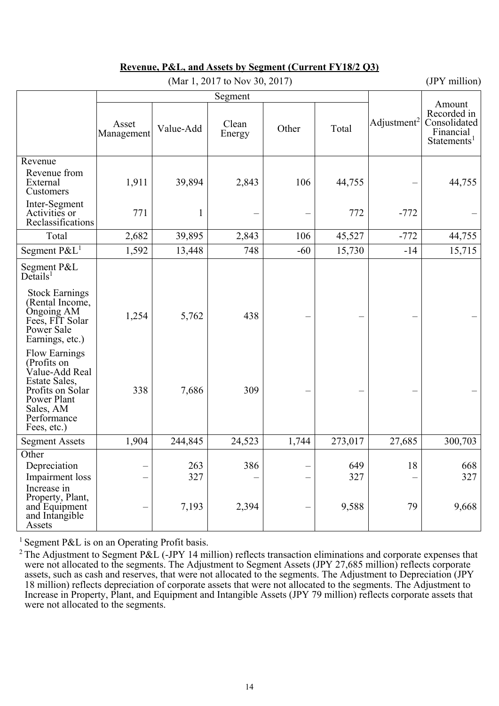| (Mar 1, 2017 to Nov 30, 2017)                                                                                                                        |                     |            |                 |       |            |                         | (JPY million)                                                                 |
|------------------------------------------------------------------------------------------------------------------------------------------------------|---------------------|------------|-----------------|-------|------------|-------------------------|-------------------------------------------------------------------------------|
|                                                                                                                                                      |                     |            | Segment         |       |            |                         |                                                                               |
|                                                                                                                                                      | Asset<br>Management | Value-Add  | Clean<br>Energy | Other | Total      | Adjustment <sup>2</sup> | Amount<br>Recorded in<br>Consolidated<br>Financial<br>Statements <sup>1</sup> |
| Revenue<br>Revenue from<br>External<br>Customers                                                                                                     | 1,911               | 39,894     | 2,843           | 106   | 44,755     |                         | 44,755                                                                        |
| Inter-Segment<br>Activities or<br>Reclassifications                                                                                                  | 771                 |            |                 |       | 772        | $-772$                  |                                                                               |
| Total                                                                                                                                                | 2,682               | 39,895     | 2,843           | 106   | 45,527     | $-772$                  | 44,755                                                                        |
| Segment P&L <sup>1</sup>                                                                                                                             | 1,592               | 13,448     | 748             | $-60$ | 15,730     | $-14$                   | 15,715                                                                        |
| Segment P&L<br>$De$ tails <sup>1</sup>                                                                                                               |                     |            |                 |       |            |                         |                                                                               |
| <b>Stock Earnings</b><br>(Rental Income,<br>Ongoing AM<br>Fees, FIT Solar<br>Power Sale<br>Earnings, etc.)                                           | 1,254               | 5,762      | 438             |       |            |                         |                                                                               |
| <b>Flow Earnings</b><br>(Profits on<br>Value-Add Real<br>Estate Sales,<br>Profits on Solar<br>Power Plant<br>Sales, AM<br>Performance<br>Fees, etc.) | 338                 | 7,686      | 309             |       |            |                         |                                                                               |
| <b>Segment Assets</b>                                                                                                                                | 1,904               | 244,845    | 24,523          | 1,744 | 273,017    | 27,685                  | 300,703                                                                       |
| Other<br>Depreciation<br>Impairment loss<br>Increase in                                                                                              |                     | 263<br>327 | 386             |       | 649<br>327 | 18                      | 668<br>327                                                                    |
| Property, Plant,<br>and Equipment<br>and Intangible<br>Assets                                                                                        |                     | 7,193      | 2,394           |       | 9,588      | 79                      | 9,668                                                                         |

### **Revenue, P&L, and Assets by Segment (Current FY18/2 Q3)**

<sup>1</sup> Segment P&L is on an Operating Profit basis.

<sup>&</sup>lt;sup>2</sup> The Adjustment to Segment P&L (-JPY 14 million) reflects transaction eliminations and corporate expenses that were not allocated to the segments. The Adjustment to Segment Assets (JPY 27,685 million) reflects corporate assets, such as cash and reserves, that were not allocated to the segments. The Adjustment to Depreciation (JPY 18 million) reflects depreciation of corporate assets that were not allocated to the segments. The Adjustment to Increase in Property, Plant, and Equipment and Intangible Assets (JPY 79 million) reflects corporate assets that were not allocated to the segments.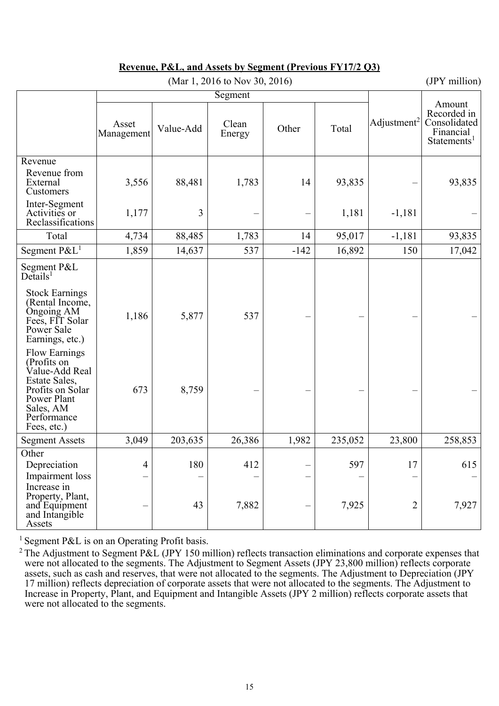|                                                                                                                                                      |                     |           | (Mar 1, 2016 to Nov 30, 2016) |        |         |                         | (JPY million)                                                                 |
|------------------------------------------------------------------------------------------------------------------------------------------------------|---------------------|-----------|-------------------------------|--------|---------|-------------------------|-------------------------------------------------------------------------------|
|                                                                                                                                                      |                     |           | Segment                       |        |         |                         |                                                                               |
|                                                                                                                                                      | Asset<br>Management | Value-Add | Clean<br>Energy               | Other  | Total   | Adjustment <sup>2</sup> | Amount<br>Recorded in<br>Consolidated<br>Financial<br>Statements <sup>1</sup> |
| Revenue<br>Revenue from<br>External<br>Customers                                                                                                     | 3,556               | 88,481    | 1,783                         | 14     | 93,835  |                         | 93,835                                                                        |
| Inter-Segment<br>Activities or<br>Reclassifications                                                                                                  | 1,177               | 3         |                               |        | 1,181   | $-1,181$                |                                                                               |
| Total                                                                                                                                                | 4,734               | 88,485    | 1,783                         | 14     | 95,017  | $-1,181$                | 93,835                                                                        |
| Segment $P\&L^1$                                                                                                                                     | 1,859               | 14,637    | 537                           | $-142$ | 16,892  | 150                     | 17,042                                                                        |
| Segment P&L<br>$De$ tails <sup>1</sup>                                                                                                               |                     |           |                               |        |         |                         |                                                                               |
| <b>Stock Earnings</b><br>(Rental Income,<br>Ongoing AM<br>Fees, FIT Solar<br>Power Sale<br>Earnings, etc.)                                           | 1,186               | 5,877     | 537                           |        |         |                         |                                                                               |
| <b>Flow Earnings</b><br>(Profits on<br>Value-Add Real<br>Estate Sales,<br>Profits on Solar<br>Power Plant<br>Sales, AM<br>Performance<br>Fees, etc.) | 673                 | 8,759     |                               |        |         |                         |                                                                               |
| <b>Segment Assets</b>                                                                                                                                | 3,049               | 203,635   | 26,386                        | 1,982  | 235,052 | 23,800                  | 258,853                                                                       |
| Other<br>Depreciation<br>Impairment loss<br>Increase in                                                                                              | 4                   | 180       | 412                           |        | 597     | 17                      | 615                                                                           |
| Property, Plant,<br>and Equipment<br>and Intangible<br>Assets                                                                                        |                     | 43        | 7,882                         |        | 7,925   | $\overline{2}$          | 7,927                                                                         |

### **Revenue, P&L, and Assets by Segment (Previous FY17/2 Q3)**

<sup>1</sup> Segment P&L is on an Operating Profit basis.

<sup>&</sup>lt;sup>2</sup> The Adjustment to Segment P&L (JPY 150 million) reflects transaction eliminations and corporate expenses that were not allocated to the segments. The Adjustment to Segment Assets (JPY 23,800 million) reflects corporate assets, such as cash and reserves, that were not allocated to the segments. The Adjustment to Depreciation (JPY 17 million) reflects depreciation of corporate assets that were not allocated to the segments. The Adjustment to Increase in Property, Plant, and Equipment and Intangible Assets (JPY 2 million) reflects corporate assets that were not allocated to the segments.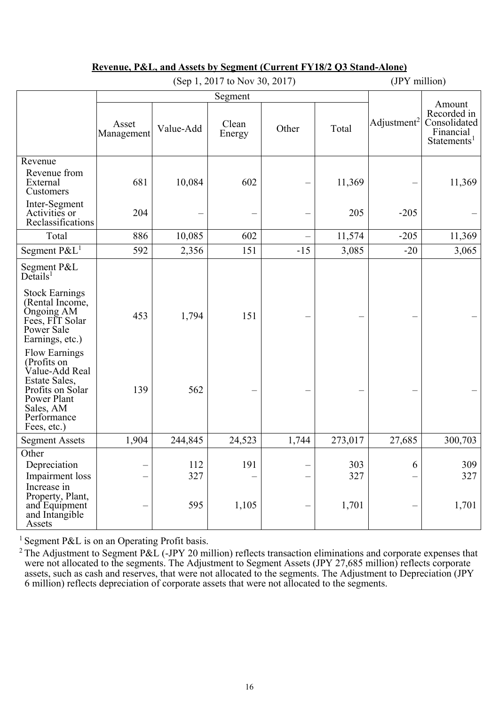|                                                                                                                                                      | (Sep 1, 2017 to Nov 30, 2017) |            |                 |       | (JPY million) |                         |                                                                               |
|------------------------------------------------------------------------------------------------------------------------------------------------------|-------------------------------|------------|-----------------|-------|---------------|-------------------------|-------------------------------------------------------------------------------|
|                                                                                                                                                      |                               |            | Segment         |       |               |                         |                                                                               |
|                                                                                                                                                      | Asset<br>Management           | Value-Add  | Clean<br>Energy | Other | Total         | Adjustment <sup>2</sup> | Amount<br>Recorded in<br>Consolidated<br>Financial<br>Statements <sup>1</sup> |
| Revenue<br>Revenue from<br>External<br>Customers                                                                                                     | 681                           | 10,084     | 602             |       | 11,369        |                         | 11,369                                                                        |
| Inter-Segment<br>Activities or<br>Reclassifications                                                                                                  | 204                           |            |                 |       | 205           | $-205$                  |                                                                               |
| Total                                                                                                                                                | 886                           | 10,085     | 602             |       | 11,574        | $-205$                  | 11,369                                                                        |
| Segment $P\&L^1$                                                                                                                                     | 592                           | 2,356      | 151             | $-15$ | 3,085         | $-20$                   | 3,065                                                                         |
| Segment P&L<br>$De$ tails <sup>1</sup>                                                                                                               |                               |            |                 |       |               |                         |                                                                               |
| <b>Stock Earnings</b><br>(Rental Income,<br>Ongoing AM<br>Fees, FIT Solar<br>Power Sale<br>Earnings, etc.)                                           | 453                           | 1,794      | 151             |       |               |                         |                                                                               |
| <b>Flow Earnings</b><br>(Profits on<br>Value-Add Real<br>Estate Sales,<br>Profits on Solar<br>Power Plant<br>Sales, AM<br>Performance<br>Fees, etc.) | 139                           | 562        |                 |       |               |                         |                                                                               |
| <b>Segment Assets</b>                                                                                                                                | 1,904                         | 244,845    | 24,523          | 1,744 | 273,017       | 27,685                  | 300,703                                                                       |
| Other<br>Depreciation<br>Impairment loss<br>Increase in                                                                                              |                               | 112<br>327 | 191             |       | 303<br>327    | 6                       | 309<br>327                                                                    |
| Property, Plant,<br>and Equipment<br>and Intangible<br>Assets                                                                                        |                               | 595        | 1,105           |       | 1,701         |                         | 1,701                                                                         |

### **Revenue, P&L, and Assets by Segment (Current FY18/2 Q3 Stand-Alone)**

<sup>1</sup> Segment P&L is on an Operating Profit basis.

<sup>2</sup> The Adjustment to Segment P&L (-JPY 20 million) reflects transaction eliminations and corporate expenses that were not allocated to the segments. The Adjustment to Segment Assets (JPY 27,685 million) reflects corporate assets, such as cash and reserves, that were not allocated to the segments. The Adjustment to Depreciation (JPY 6 million) reflects depreciation of corporate assets that were not allocated to the segments.